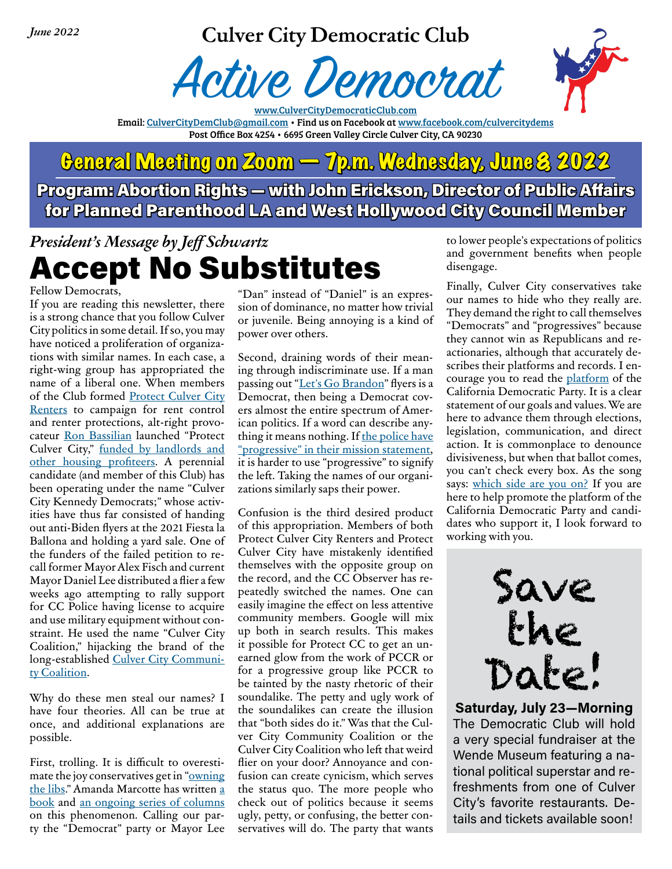*June 2022*

### **Culver City Democratic Club**





www.CulverCityDemocraticClub.com Email: [CulverCityDemClub@gmail.com](mailto:CulverCityDemClub%40gmail.com?subject=) • Find us on Facebook at [www.facebook.com/culvercitydems](https://www.facebook.com/CulverCityDems/) Post Office Box 4254 • 6695 Green Valley Circle Culver City, CA 90230

## General Meeting on Zoom — 7p.m. Wednesday, June 8, 2022 Program: Abortion Rights — with John Erickson, Director of Public Affairs for Planned Parenthood LA and West Hollywood City Council Member

## *President's Message by Jeff Schwartz* Accept No Substitutes

Fellow Democrats,

If you are reading this newsletter, there is a strong chance that you follow Culver City politics in some detail. If so, you may have noticed a proliferation of organizations with similar names. In each case, a right-wing group has appropriated the name of a liberal one. When members of the Club formed [Protect Culver City](https://culvercitycatalyst.co/why-its-important-to-protect-culver-city-renters/)  [Renters](https://culvercitycatalyst.co/why-its-important-to-protect-culver-city-renters/) to campaign for rent control and renter protections, alt-right provocateur [Ron Bassilian](https://knock-la.com/protect-culver-city-measure-b-ron-bassilian-racist-339559c44c67/) launched "Protect Culver City," [funded by landlords and](https://public.netfile.com/pub2/?AID=CUL)  [other housing profiteers](https://public.netfile.com/pub2/?AID=CUL). A perennial candidate (and member of this Club) has been operating under the name "Culver City Kennedy Democrats;" whose activities have thus far consisted of handing out anti-Biden flyers at the 2021 Fiesta la Ballona and holding a yard sale. One of the funders of the failed petition to recall former Mayor Alex Fisch and current Mayor Daniel Lee distributed a flier a few weeks ago attempting to rally support for CC Police having license to acquire and use military equipment without constraint. He used the name "Culver City Coalition," hijacking the brand of the long-established [Culver City Communi](https://culvercitycommunitycoalition.net)[ty Coalition](https://culvercitycommunitycoalition.net).

Why do these men steal our names? I have four theories. All can be true at once, and additional explanations are possible.

First, trolling. It is difficult to overestimate the joy conservatives get in ["owning](https://www.rollingstone.com/politics/politics-features/own-the-libs-meaning-703845/)  [the libs](https://www.rollingstone.com/politics/politics-features/own-the-libs-meaning-703845/)." Amanda Marcotte has written [a](https://www.simonandschuster.com/books/Troll-Nation/Amanda-Marcotte/9781510737457)  [book](https://www.simonandschuster.com/books/Troll-Nation/Amanda-Marcotte/9781510737457) and [an ongoing series of columns](https://www.salon.com/writer/amanda_marcotte) on this phenomenon. Calling our party the "Democrat" party or Mayor Lee

"Dan" instead of "Daniel" is an expression of dominance, no matter how trivial or juvenile. Being annoying is a kind of power over others.

Second, draining words of their meaning through indiscriminate use. If a man passing out "[Let's Go Brandon](https://apnews.com/article/lets-go-brandon-what-does-it-mean-republicans-joe-biden-ab13db212067928455a3dba07756a160)" flyers is a Democrat, then being a Democrat covers almost the entire spectrum of American politics. If a word can describe anything it means nothing. If the police have ["progressive" in their mission statement](https://www.culvercitypd.org/Office-of-the-Chief-of-Police/Organizational-Values), it is harder to use "progressive" to signify the left. Taking the names of our organizations similarly saps their power.

Confusion is the third desired product of this appropriation. Members of both Protect Culver City Renters and Protect Culver City have mistakenly identified themselves with the opposite group on the record, and the CC Observer has repeatedly switched the names. One can easily imagine the effect on less attentive community members. Google will mix up both in search results. This makes it possible for Protect CC to get an unearned glow from the work of PCCR or for a progressive group like PCCR to be tainted by the nasty rhetoric of their soundalike. The petty and ugly work of the soundalikes can create the illusion that "both sides do it." Was that the Culver City Community Coalition or the Culver City Coalition who left that weird flier on your door? Annoyance and confusion can create cynicism, which serves the status quo. The more people who check out of politics because it seems ugly, petty, or confusing, the better conservatives will do. The party that wants

to lower people's expectations of politics and government benefits when people disengage.

Finally, Culver City conservatives take our names to hide who they really are. They demand the right to call themselves "Democrats" and "progressives" because they cannot win as Republicans and reactionaries, although that accurately describes their platforms and records. I encourage you to read the [platform](https://cadem.org/our-platform/) of the California Democratic Party. It is a clear statement of our goals and values. We are here to advance them through elections, legislation, communication, and direct action. It is commonplace to denounce divisiveness, but when that ballot comes, you can't check every box. As the song says: [which side are you on?](https://www.youtube.com/watch?v=ALCm5Peie_8) If you are here to help promote the platform of the California Democratic Party and candidates who support it, I look forward to working with you.



**Saturday, July 23—Morning** The Democratic Club will hold a very special fundraiser at the Wende Museum featuring a national political superstar and refreshments from one of Culver City's favorite restaurants. Details and tickets available soon!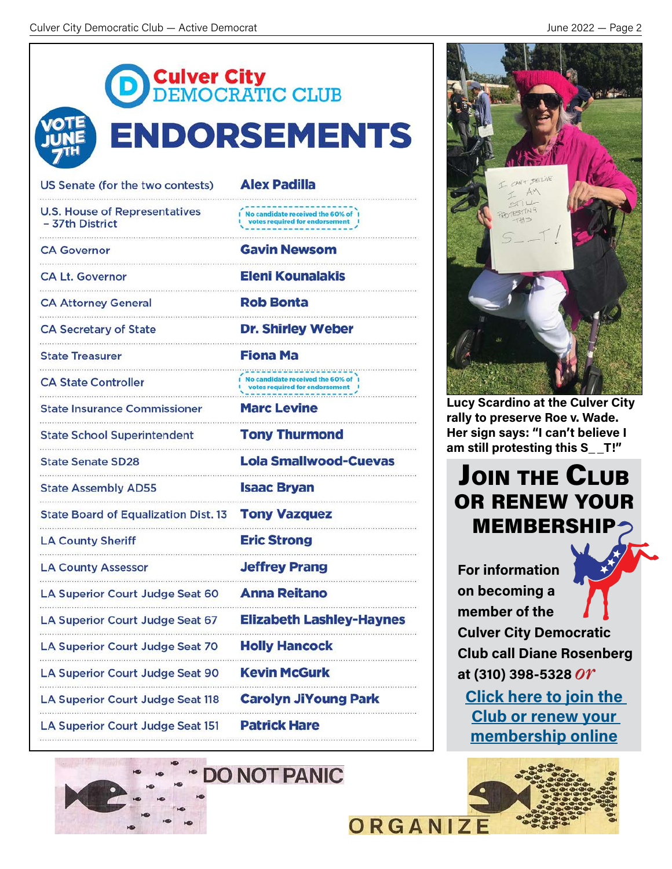<span id="page-1-0"></span>

| <b>DEMOCRATIC CLUB</b>                                  | <b>ENDORSEMENTS</b>                                                    |
|---------------------------------------------------------|------------------------------------------------------------------------|
| US Senate (for the two contests)                        | <b>Alex Padilla</b>                                                    |
| <b>U.S. House of Representatives</b><br>- 37th District | No candidate received the 60% of 1                                     |
| <b>CA Governor</b>                                      | <b>Gavin Newsom</b>                                                    |
| <b>CA Lt. Governor</b>                                  | <b>Eleni Kounalakis</b>                                                |
| <b>CA Attorney General</b>                              | <b>Rob Bonta</b>                                                       |
| <b>CA Secretary of State</b>                            | <b>Dr. Shirley Weber</b>                                               |
| <b>State Treasurer</b>                                  | <b>Fiona Ma</b>                                                        |
| <b>CA State Controller</b>                              | I No candidate received the 60% of 1<br>votes required for endorsement |
| <b>State Insurance Commissioner</b>                     | <b>Marc Levine</b>                                                     |
| <b>State School Superintendent</b>                      | <b>Tony Thurmond</b>                                                   |
| <b>State Senate SD28</b>                                | <b>Lola Smallwood-Cuevas</b>                                           |
| <b>State Assembly AD55</b>                              | <b>Isaac Bryan</b>                                                     |
| State Board of Equalization Dist. 13 Tony Vazquez       |                                                                        |
| <b>LA County Sheriff</b>                                | <b>Eric Strong</b>                                                     |
| <b>LA County Assessor</b>                               | <b>Jeffrey Prang</b>                                                   |
| LA Superior Court Judge Seat 60                         | <b>Anna Reitano</b>                                                    |
| LA Superior Court Judge Seat 67                         | <b>Elizabeth Lashley-Haynes</b>                                        |
| LA Superior Court Judge Seat 70                         | <b>Holly Hancock</b>                                                   |
| <b>LA Superior Court Judge Seat 90</b>                  | <b>Kevin McGurk</b>                                                    |
| <b>LA Superior Court Judge Seat 118</b>                 | <b>Carolyn JiYoung Park</b>                                            |
| <b>LA Superior Court Judge Seat 151</b>                 | <b>Patrick Hare</b>                                                    |
|                                                         |                                                                        |







**Lucy Scardino at the Culver City rally to preserve Roe v. Wade. Her sign says: "I can't believe I am still protesting this S\_ \_T!"**

## **JOIN THE CLUB** or renew your **MEMBERSHIP**

**For information on becoming a member of the Culver City Democratic Club call Diane Rosenberg at (310) 398-5328** *or* **[Click here to join the](https://secure.actblue.com/contribute/page/ccdcmembership)** 

**[Club or renew your](https://secure.actblue.com/contribute/page/ccdcmembership)  membership online** 



**ORGANIZE**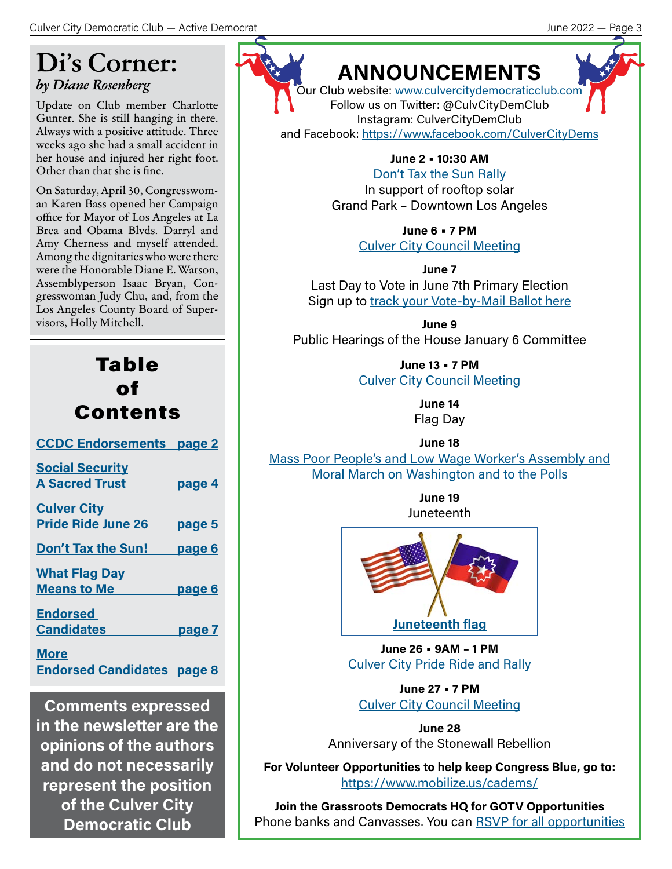## **Di's Corner:** *by Diane Rosenberg*

Update on Club member Charlotte Gunter. She is still hanging in there. Always with a positive attitude. Three weeks ago she had a small accident in her house and injured her right foot. Other than that she is fine.

On Saturday, April 30, Congresswoman Karen Bass opened her Campaign office for Mayor of Los Angeles at La Brea and Obama Blvds. Darryl and Amy Cherness and myself attended. Among the dignitaries who were there were the Honorable Diane E. Watson, Assemblyperson Isaac Bryan, Congresswoman Judy Chu, and, from the Los Angeles County Board of Supervisors, Holly Mitchell.

| Table<br>of<br><b>Contents</b>                   |               |  |
|--------------------------------------------------|---------------|--|
| <b>CCDC Endorsements page 2</b>                  |               |  |
| <b>Social Security</b><br><b>A Sacred Trust</b>  | page 4        |  |
| <b>Culver City</b><br>Pride Ride June 26 page 5  |               |  |
| Don't Tax the Sun! page 6                        |               |  |
| <b>What Flag Day</b><br><b>Means to Me</b>       | <u>page 6</u> |  |
| <b>Endorsed</b><br><b>Candidates</b>             | page 7        |  |
| <b>More</b><br><b>Endorsed Candidates page 8</b> |               |  |

**Comments expressed in the newsletter are the opinions of the authors and do not necessarily represent the position of the Culver City Democratic Club**



## **ANNOUNCEMENTS**

.<br>Our Club website: [www.culvercitydemocraticclub.com](http://www.culvercitydemocraticclub.com) Follow us on Twitter: @CulvCityDemClub Instagram: CulverCityDemClub

and Facebook:<https://www.facebook.com/CulverCityDems>

**June 2 • 10:30 AM** [Don't Tax the Sun Rally](https://secure.everyaction.com/KA_CwQtGfUON3B2Bi-ZA8w2)

In support of rooftop solar Grand Park – Downtown Los Angeles

> **June 6 • 7 PM**  [Culver City Council Meeting](https://www.culvercity.org/City-Hall/Meetings-Agendas)

**June 7** Last Day to Vote in June 7th Primary Election Sign up to [track your Vote-by-Mail Ballot here](https://www.lavote.gov/av_inquiry)

**June 9**  Public Hearings of the House January 6 Committee

> **June 13 • 7 PM**  [Culver City Council Meeting](https://www.culvercity.org/City-Hall/Meetings-Agendas)

> > **June 14** Flag Day

> > > **June 18**

[Mass Poor People's and Low Wage Worker's Assembly and](https://www.poorpeoplescampaign.org/) [Moral March on Washington and to the Polls](https://www.poorpeoplescampaign.org/)

> **June 19** Juneteenth



**June 26 • 9AM – 1 PM** [Culver City Pride Ride and Rally](https://ccpride.splashthat.com/?fbclid=IwAR0IwPSywxoURChkVo27qkumaKLqP9_Xve5yxjYFZOMEMukdn4hwsqLYf1U)

**June 27 • 7 PM**  [Culver City Council Meeting](https://www.culvercity.org/City-Hall/Meetings-Agendas)

**June 28** Anniversary of the Stonewall Rebellion

**For Volunteer Opportunities to help keep Congress Blue, go to:** <https://www.mobilize.us/cadems/>

**Join the Grassroots Democrats HQ for GOTV Opportunities** Phone banks and Canvasses. You can [RSVP for all opportunities](https://grassrootsdems.org)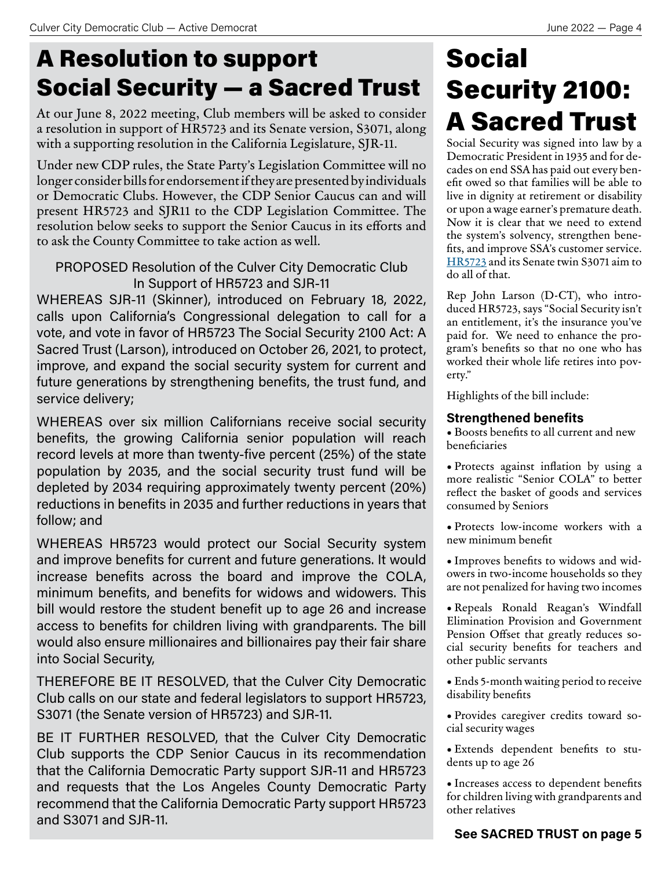## <span id="page-3-0"></span>A Resolution to support Social Security — a Sacred Trust

At our June 8, 2022 meeting, Club members will be asked to consider a resolution in support of HR5723 and its Senate version, S3071, along with a supporting resolution in the California Legislature, SJR-11.

Under new CDP rules, the State Party's Legislation Committee will no longer consider bills for endorsement if they are presented by individuals or Democratic Clubs. However, the CDP Senior Caucus can and will present HR5723 and SJR11 to the CDP Legislation Committee. The resolution below seeks to support the Senior Caucus in its efforts and to ask the County Committee to take action as well.

### PROPOSED Resolution of the Culver City Democratic Club In Support of HR5723 and SJR-11

WHEREAS SJR-11 (Skinner), introduced on February 18, 2022, calls upon California's Congressional delegation to call for a vote, and vote in favor of HR5723 The Social Security 2100 Act: A Sacred Trust (Larson), introduced on October 26, 2021, to protect, improve, and expand the social security system for current and future generations by strengthening benefits, the trust fund, and service delivery;

WHEREAS over six million Californians receive social security benefits, the growing California senior population will reach record levels at more than twenty-five percent (25%) of the state population by 2035, and the social security trust fund will be depleted by 2034 requiring approximately twenty percent (20%) reductions in benefits in 2035 and further reductions in years that follow; and

WHEREAS HR5723 would protect our Social Security system and improve benefits for current and future generations. It would increase benefits across the board and improve the COLA, minimum benefits, and benefits for widows and widowers. This bill would restore the student benefit up to age 26 and increase access to benefits for children living with grandparents. The bill would also ensure millionaires and billionaires pay their fair share into Social Security,

THEREFORE BE IT RESOLVED, that the Culver City Democratic Club calls on our state and federal legislators to support HR5723, S3071 (the Senate version of HR5723) and SJR-11.

BE IT FURTHER RESOLVED, that the Culver City Democratic Club supports the CDP Senior Caucus in its recommendation that the California Democratic Party support SJR-11 and HR5723 and requests that the Los Angeles County Democratic Party recommend that the California Democratic Party support HR5723 and S3071 and SJR-11.

## **Social** Security 2100: A Sacred Trust

Social Security was signed into law by a Democratic President in 1935 and for decades on end SSA has paid out every benefit owed so that families will be able to live in dignity at retirement or disability or upon a wage earner's premature death. Now it is clear that we need to extend the system's solvency, strengthen benefits, and improve SSA's customer service. [HR5723](https://www.congress.gov/bill/117th-congress/house-bill/5723/text) and its Senate twin S3071 aim to do all of that.

Rep John Larson (D-CT), who introduced HR5723, says "Social Security isn't an entitlement, it's the insurance you've paid for. We need to enhance the program's benefits so that no one who has worked their whole life retires into poverty."

Highlights of the bill include:

### **Strengthened benefits**

• Boosts benefits to all current and new beneficiaries

• Protects against inflation by using a more realistic "Senior COLA" to better reflect the basket of goods and services consumed by Seniors

• Protects low-income workers with a new minimum benefit

• Improves benefits to widows and widowers in two-income households so they are not penalized for having two incomes

• Repeals Ronald Reagan's Windfall Elimination Provision and Government Pension Offset that greatly reduces social security benefits for teachers and other public servants

• Ends 5-month waiting period to receive disability benefits

• Provides caregiver credits toward social security wages

• Extends dependent benefits to students up to age 26

• Increases access to dependent benefits for children living with grandparents and other relatives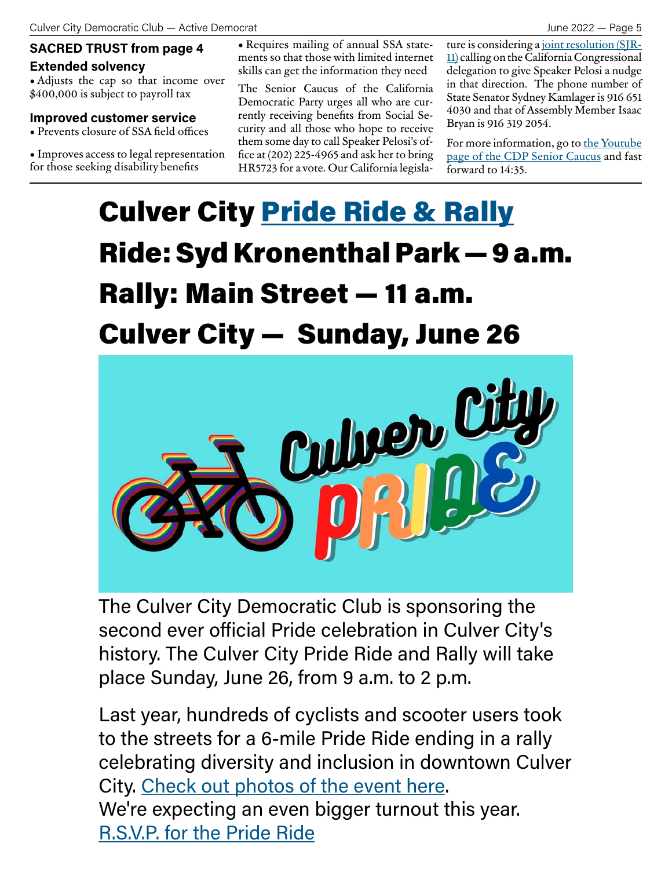## **Extended solvency**

• Adjusts the cap so that income over \$400,000 is subject to payroll tax

#### **Improved customer service**

• Prevents closure of SSA field offices

• Improves access to legal representation for those seeking disability benefits

<span id="page-4-0"></span>**SACRED TRUST from page 4** • Requires mailing of annual SSA statements so that those with limited internet skills can get the information they need

> The Senior Caucus of the California Democratic Party urges all who are currently receiving benefits from Social Security and all those who hope to receive them some day to call Speaker Pelosi's office at (202) 225-4965 and ask her to bring HR5723 for a vote. Our California legisla-

ture is considering a [joint resolution \(SJR-](https://leginfo.legislature.ca.gov/faces/billNavClient.xhtml?bill_id=202120220SJR11)[11\)](https://leginfo.legislature.ca.gov/faces/billNavClient.xhtml?bill_id=202120220SJR11) calling on the California Congressional delegation to give Speaker Pelosi a nudge in that direction. The phone number of State Senator Sydney Kamlager is 916 651 4030 and that of Assembly Member Isaac Bryan is 916 319 2054.

For more information, go to the Youtube [page of the CDP Senior Caucus](https://www.youtube.com/watch?v=WLVEQRLd4jE) and fast forward to 14:35.

## **Culver City [Pride Ride & Rally](https://ccpride.splashthat.com/?fbclid=IwAR0IwPSywxoURChkVo27qkumaKLqP9_Xve5yxjYFZOMEMukdn4hwsqLYf1U)** Ride: Syd Kronenthal Park — 9 a.m. Rally: Main Street — 11 a.m. Culver City — Sunday, June 26



The Culver City Democratic Club is sponsoring the second ever official Pride celebration in Culver City's history. The Culver City Pride Ride and Rally will take place Sunday, June 26, from 9 a.m. to 2 p.m.

Last year, hundreds of cyclists and scooter users took to the streets for a 6-mile Pride Ride ending in a rally celebrating diversity and inclusion in downtown Culver City. [Check out photos of the event here.](https://photos.google.com/share/AF1QipMYphGk9nJFaH3ZvG7cF9P6Xfzad4PcbApMCQF20c2N55Scym-AgyrfgMuIp8Cu4w?key=dmFXQWQ3Q2FqSTU0aTZhMTRTN0w1ay1pVGI4NUpB) We're expecting an even bigger turnout this year. [R.S.V.P. for the Pride Ride](https://ccpride.splashthat.com/?fbclid=IwAR0IwPSywxoURChkVo27qkumaKLqP9_Xve5yxjYFZOMEMukdn4hwsqLYf1U)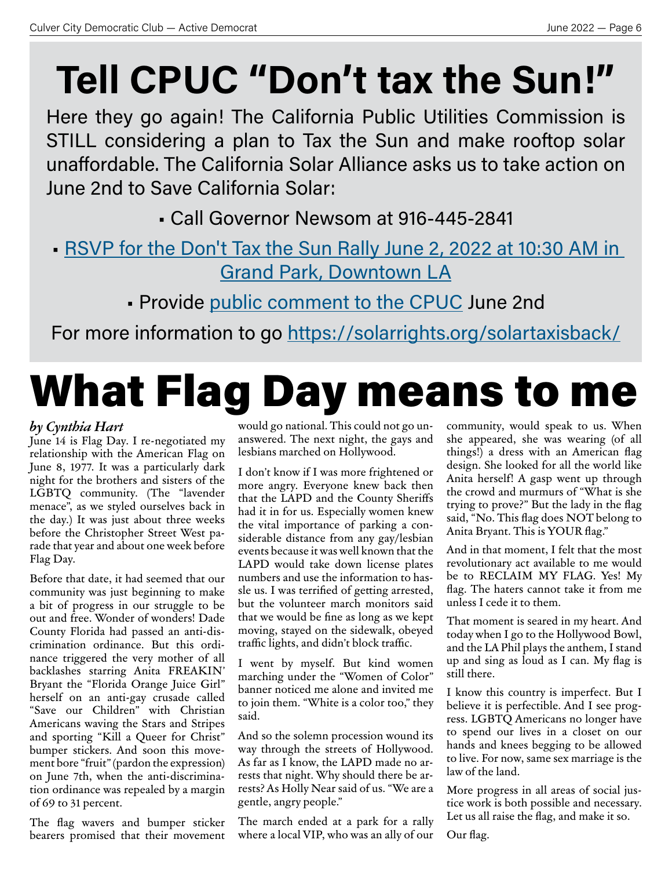# <span id="page-5-0"></span>**Tell CPUC "Don't tax the Sun!"**

Here they go again! The California Public Utilities Commission is STILL considering a plan to Tax the Sun and make rooftop solar unaffordable. The California Solar Alliance asks us to take action on June 2nd to Save California Solar:

• Call Governor Newsom at 916-445-2841

- [RSVP for the Don't Tax the Sun Rally June 2, 2022 at 10:30 AM in](https://secure.everyaction.com/KA_CwQtGfUON3B2Bi-ZA8w2)  [Grand Park, Downtown LA](https://secure.everyaction.com/KA_CwQtGfUON3B2Bi-ZA8w2)
	- Provide [public comment to the CPUC](https://secure.everyaction.com/KA_CwQtGfUON3B2Bi-ZA8w2?fbclid=IwAR3UIakimRNYOzG540Gt5AVBXrQnWFIxC3ToOElMFMpFevhrqP1_nykpMok) June 2nd

For more information to go<https://solarrights.org/solartaxisback/>

# What Flag Day means to me

### *by Cynthia Hart*

June 14 is Flag Day. I re-negotiated my relationship with the American Flag on June 8, 1977. It was a particularly dark night for the brothers and sisters of the LGBTQ community. (The "lavender menace", as we styled ourselves back in the day.) It was just about three weeks before the Christopher Street West parade that year and about one week before Flag Day.

Before that date, it had seemed that our community was just beginning to make a bit of progress in our struggle to be out and free. Wonder of wonders! Dade County Florida had passed an anti-discrimination ordinance. But this ordinance triggered the very mother of all backlashes starring Anita FREAKIN' Bryant the "Florida Orange Juice Girl" herself on an anti-gay crusade called "Save our Children" with Christian Americans waving the Stars and Stripes and sporting "Kill a Queer for Christ" bumper stickers. And soon this movement bore "fruit" (pardon the expression) on June 7th, when the anti-discrimination ordinance was repealed by a margin of 69 to 31 percent.

The flag wavers and bumper sticker bearers promised that their movement would go national. This could not go unanswered. The next night, the gays and lesbians marched on Hollywood.

I don't know if I was more frightened or more angry. Everyone knew back then that the LAPD and the County Sheriffs had it in for us. Especially women knew the vital importance of parking a considerable distance from any gay/lesbian events because it was well known that the LAPD would take down license plates numbers and use the information to hassle us. I was terrified of getting arrested, but the volunteer march monitors said that we would be fine as long as we kept moving, stayed on the sidewalk, obeyed traffic lights, and didn't block traffic.

I went by myself. But kind women marching under the "Women of Color" banner noticed me alone and invited me to join them. "White is a color too," they said.

And so the solemn procession wound its way through the streets of Hollywood. As far as I know, the LAPD made no arrests that night. Why should there be arrests? As Holly Near said of us. "We are a gentle, angry people."

The march ended at a park for a rally where a local VIP, who was an ally of our community, would speak to us. When she appeared, she was wearing (of all things!) a dress with an American flag design. She looked for all the world like Anita herself! A gasp went up through the crowd and murmurs of "What is she trying to prove?" But the lady in the flag said, "No. This flag does NOT belong to Anita Bryant. This is YOUR flag."

And in that moment, I felt that the most revolutionary act available to me would be to RECLAIM MY FLAG. Yes! My flag. The haters cannot take it from me unless I cede it to them.

That moment is seared in my heart. And today when I go to the Hollywood Bowl, and the LA Phil plays the anthem, I stand up and sing as loud as I can. My flag is still there.

I know this country is imperfect. But I believe it is perfectible. And I see progress. LGBTQ Americans no longer have to spend our lives in a closet on our hands and knees begging to be allowed to live. For now, same sex marriage is the law of the land.

More progress in all areas of social justice work is both possible and necessary. Let us all raise the flag, and make it so.

Our flag.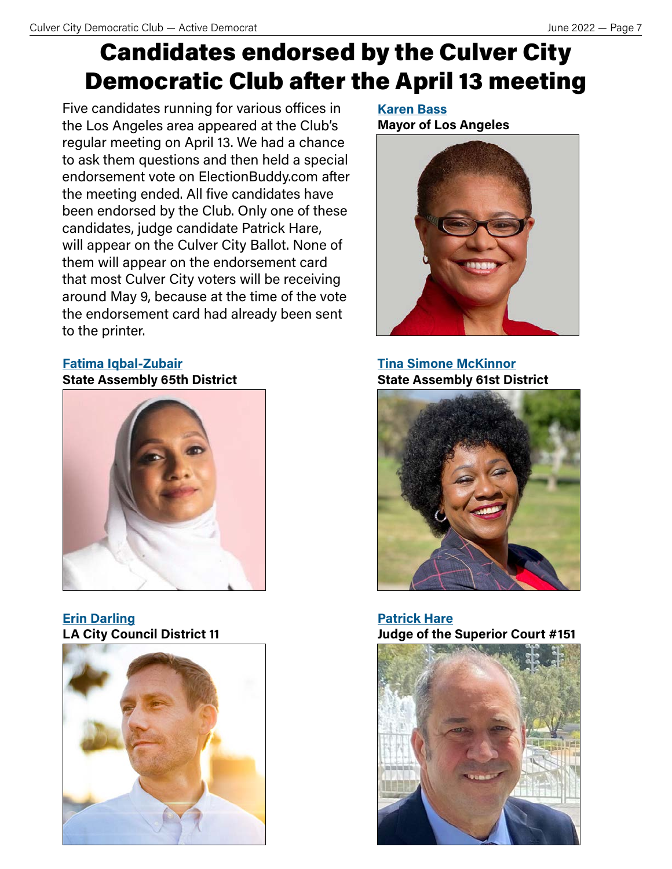## <span id="page-6-0"></span>Candidates endorsed by the Culver City Democratic Club after the April 13 meeting

Five candidates running for various offices in the Los Angeles area appeared at the Club's regular meeting on April 13. We had a chance to ask them questions and then held a special endorsement vote on ElectionBuddy.com after the meeting ended. All five candidates have been endorsed by the Club. Only one of these candidates, judge candidate Patrick Hare, will appear on the Culver City Ballot. None of them will appear on the endorsement card that most Culver City voters will be receiving around May 9, because at the time of the vote the endorsement card had already been sent to the printer.

### **[Fatima Iqbal-Zubair](https://fatimaforassembly.com) State Assembly 65th District**



**[Erin Darling](https://www.erindarling11.com) LA City Council District 11**



**[Karen Bass](https://karenbass.com) Mayor of Los Angeles**



**[Tina Simone McKinnor](https://tina4ca.com) State Assembly 61st District**



**[Patrick Hare](https://www.patrickhareforjudge.com) Judge of the Superior Court #151**